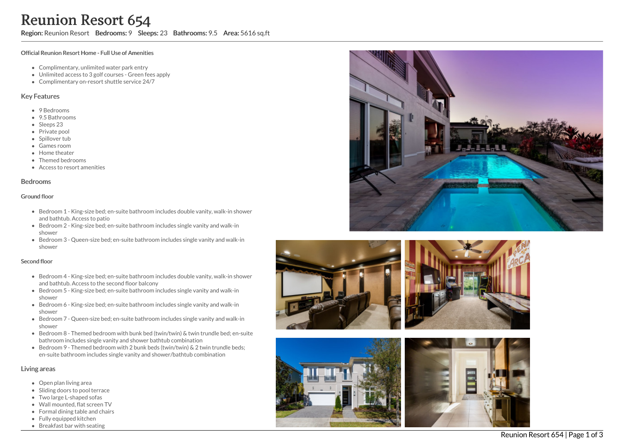Region: Reunion Resort Bedrooms: 9 Sleeps: 23 Bathrooms: 9.5 Area: 5616 sq.ft

#### Official Reunion Resort Home - Full Use of Amenities

- Complimentary, unlimited water park entry
- Unlimited access to 3 golf courses Green fees apply
- Complimentary on-resort shuttle service 24/7

### Key Features

- 9 B e d r o o m s
- 9.5 B a t h r o o m s
- Sleeps 23
- Private pool
- Spillover tub
- Games room
- Home theate r
- Themed bedrooms
- Access to resort amenities

#### **Bedrooms**

#### Ground floor

- Bedroom 1 King-size bed; en-suite bathroom includes double vanity, walk-in shower and bathtub. Access to patio
- Bedroom 2 King-size bed; en-suite bathroom includes single vanity and walk-in s h o w e r
- Bedroom 3 Queen-size bed; en-suite bathroom includes single vanity and walk-in s h o w e r

#### Second floor

- Bedroom 4 King-size bed; en-suite bathroom includes double vanity, walk-in shower and bathtub. Access to the second floor balcony
- Bedroom 5 King-size bed; en-suite bathroom includes single vanity and walk-in s h o w e r
- Bedroom 6 King-size bed; en-suite bathroom includes single vanity and walk-in s h o w e r
- Bedroom 7 Queen-size bed; en-suite bathroom includes single vanity and walk-in s h o w e r
- Bedroom 8 Themed bedroom with bunk bed (twin/twin) & twin trundle bed; en-suite bathroom includes single vanity and shower bathtub combination
- Bedroom 9 Themed bedroom with 2 bunk beds (twin/twin) & 2 twin trundle beds; en-suite bathroom includes single vanity and shower/bathtub combination

#### Living areas

- Open plan living area
- Sliding doors to pool terrace
- Two large L-shaped sofas
- Wall mounted, flat screen TV
- Formal dining table and chairs
- Fully equipped kitchen
- Breakfast bar with seating







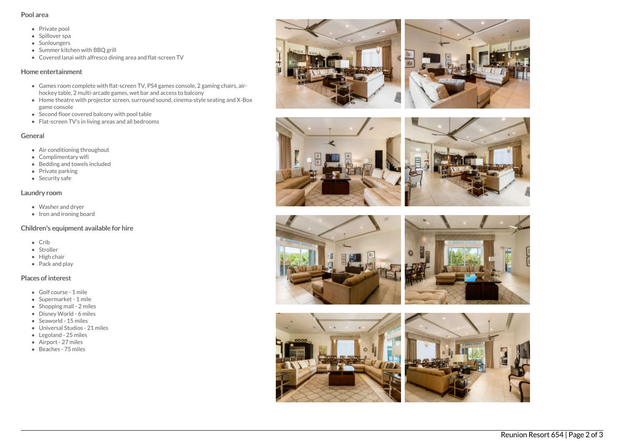### Pool area

- Private pool
- Spillover spa
- Sunloungers
- Summer kitchen with BBO grill
- Covered lanai with alfresco dining area and flat-screen TV

## Home entertainment

- Games room complete with flat-screen TV, PS4 games console, 2 gaming chairs, airhockey table, 2 multi-arcade games, wet bar and access to balcony
- Home theatre with projector screen, surround sound, cinema-style seating and X-Box game console
- Second floor covered balcony with pool table
- Flat-screen TV's in living areas and all bedrooms

## General

- Air conditioning throughout
- Complimentary wifi
- Bedding and towels included
- $\bullet$  Private parking
- Security safe

### Laundry room

- Washer and dryer
- Iron and ironing board

# Children's equipment available for hire

- $\bullet$  Crib
- Stroller
- $\bullet$  High chair
- Pack and play

# Places of interest

- Golf course 1 mile
- Supermarket 1 mile
- $\bullet$  Shopping mall 2 miles
- Disney World 6 miles
- Seaworld 15 miles
- Universal Studios 21 miles
- Legoland 25 miles
- Airport 27 miles
- Beaches 75 miles